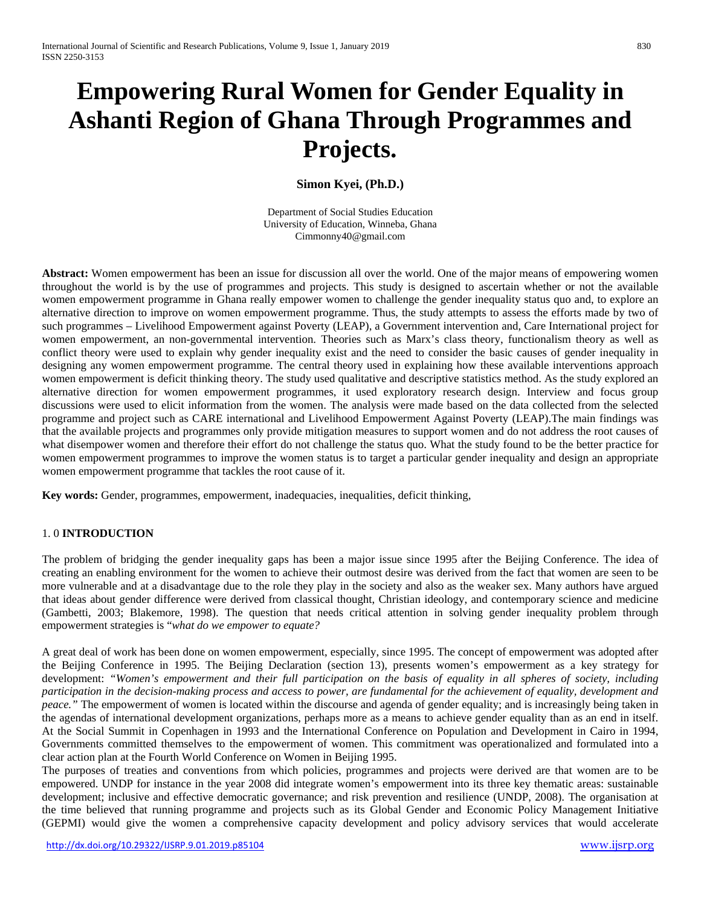# **Empowering Rural Women for Gender Equality in Ashanti Region of Ghana Through Programmes and Projects.**

**Simon Kyei, (Ph.D.)**

Department of Social Studies Education University of Education, Winneba, Ghana Cimmonny40@gmail.com

**Abstract:** Women empowerment has been an issue for discussion all over the world. One of the major means of empowering women throughout the world is by the use of programmes and projects. This study is designed to ascertain whether or not the available women empowerment programme in Ghana really empower women to challenge the gender inequality status quo and, to explore an alternative direction to improve on women empowerment programme. Thus, the study attempts to assess the efforts made by two of such programmes – Livelihood Empowerment against Poverty (LEAP), a Government intervention and, Care International project for women empowerment, an non-governmental intervention. Theories such as Marx's class theory, functionalism theory as well as conflict theory were used to explain why gender inequality exist and the need to consider the basic causes of gender inequality in designing any women empowerment programme. The central theory used in explaining how these available interventions approach women empowerment is deficit thinking theory. The study used qualitative and descriptive statistics method. As the study explored an alternative direction for women empowerment programmes, it used exploratory research design. Interview and focus group discussions were used to elicit information from the women. The analysis were made based on the data collected from the selected programme and project such as CARE international and Livelihood Empowerment Against Poverty (LEAP).The main findings was that the available projects and programmes only provide mitigation measures to support women and do not address the root causes of what disempower women and therefore their effort do not challenge the status quo. What the study found to be the better practice for women empowerment programmes to improve the women status is to target a particular gender inequality and design an appropriate women empowerment programme that tackles the root cause of it.

**Key words:** Gender, programmes, empowerment, inadequacies, inequalities, deficit thinking,

#### 1. 0 **INTRODUCTION**

The problem of bridging the gender inequality gaps has been a major issue since 1995 after the Beijing Conference. The idea of creating an enabling environment for the women to achieve their outmost desire was derived from the fact that women are seen to be more vulnerable and at a disadvantage due to the role they play in the society and also as the weaker sex. Many authors have argued that ideas about gender difference were derived from classical thought, Christian ideology, and contemporary science and medicine (Gambetti, 2003; Blakemore, 1998). The question that needs critical attention in solving gender inequality problem through empowerment strategies is "*what do we empower to equate?*

A great deal of work has been done on women empowerment, especially, since 1995. The concept of empowerment was adopted after the Beijing Conference in 1995. The Beijing Declaration (section 13), presents women's empowerment as a key strategy for development: *"Women's empowerment and their full participation on the basis of equality in all spheres of society, including participation in the decision-making process and access to power, are fundamental for the achievement of equality, development and peace."* The empowerment of women is located within the discourse and agenda of gender equality; and is increasingly being taken in the agendas of international development organizations, perhaps more as a means to achieve gender equality than as an end in itself. At the Social Summit in Copenhagen in 1993 and the International Conference on Population and Development in Cairo in 1994, Governments committed themselves to the empowerment of women. This commitment was operationalized and formulated into a clear action plan at the Fourth World Conference on Women in Beijing 1995.

The purposes of treaties and conventions from which policies, programmes and projects were derived are that women are to be empowered. UNDP for instance in the year 2008 did integrate women's empowerment into its three key thematic areas: sustainable development; inclusive and effective democratic governance; and risk prevention and resilience (UNDP, 2008). The organisation at the time believed that running programme and projects such as its Global Gender and Economic Policy Management Initiative (GEPMI) would give the women a comprehensive capacity development and policy advisory services that would accelerate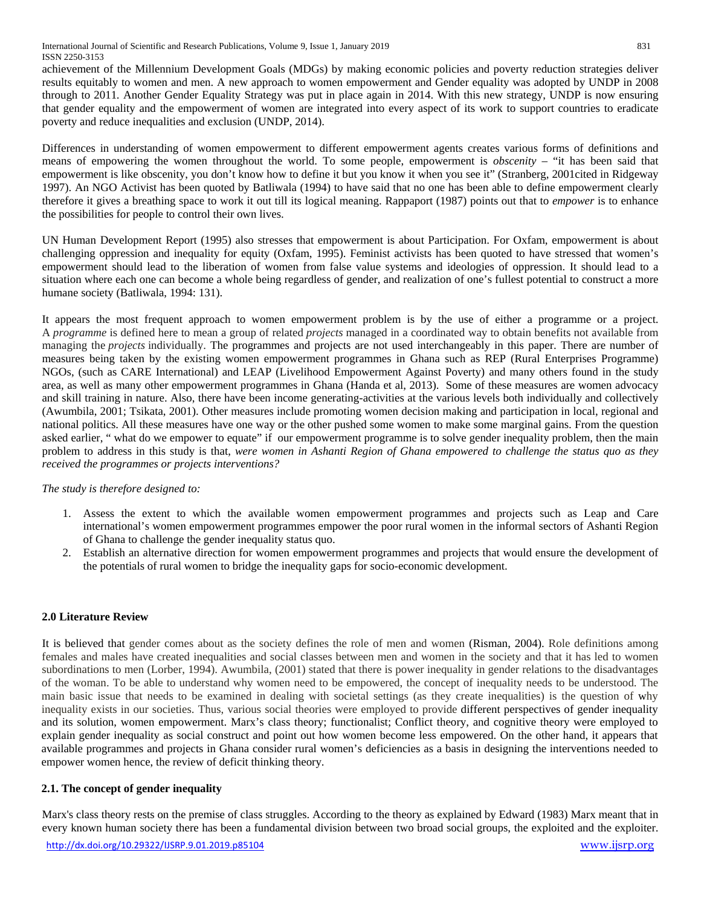achievement of the Millennium Development Goals (MDGs) by making economic policies and poverty reduction strategies deliver results equitably to women and men. A new approach to women empowerment and Gender equality was adopted by UNDP in 2008 through to 2011*.* Another Gender Equality Strategy was put in place again in 2014. With this new strategy, UNDP is now ensuring that gender equality and the empowerment of women are integrated into every aspect of its work to support countries to eradicate poverty and reduce inequalities and exclusion (UNDP, 2014).

Differences in understanding of women empowerment to different empowerment agents creates various forms of definitions and means of empowering the women throughout the world. To some people, empowerment is *obscenity* – "it has been said that empowerment is like obscenity, you don't know how to define it but you know it when you see it" (Stranberg, 2001cited in Ridgeway 1997). An NGO Activist has been quoted by Batliwala (1994) to have said that no one has been able to define empowerment clearly therefore it gives a breathing space to work it out till its logical meaning. Rappaport (1987) points out that to *empower* is to enhance the possibilities for people to control their own lives.

UN Human Development Report (1995) also stresses that empowerment is about Participation. For Oxfam, empowerment is about challenging oppression and inequality for equity (Oxfam, 1995). Feminist activists has been quoted to have stressed that women's empowerment should lead to the liberation of women from false value systems and ideologies of oppression. It should lead to a situation where each one can become a whole being regardless of gender, and realization of one's fullest potential to construct a more humane society (Batliwala, 1994: 131).

It appears the most frequent approach to women empowerment problem is by the use of either a programme or a project. A *programme* is defined here to mean a group of related *projects* managed in a coordinated way to obtain benefits not available from managing the *projects* individually. The programmes and projects are not used interchangeably in this paper. There are number of measures being taken by the existing women empowerment programmes in Ghana such as REP (Rural Enterprises Programme) NGOs, (such as CARE International) and LEAP (Livelihood Empowerment Against Poverty) and many others found in the study area, as well as many other empowerment programmes in Ghana (Handa et al, 2013). Some of these measures are women advocacy and skill training in nature. Also, there have been income generating-activities at the various levels both individually and collectively (Awumbila, 2001; Tsikata, 2001). Other measures include promoting women decision making and participation in local, regional and national politics. All these measures have one way or the other pushed some women to make some marginal gains. From the question asked earlier, " what do we empower to equate" if our empowerment programme is to solve gender inequality problem, then the main problem to address in this study is that, *were women in Ashanti Region of Ghana empowered to challenge the status quo as they received the programmes or projects interventions?*

#### *The study is therefore designed to:*

- 1. Assess the extent to which the available women empowerment programmes and projects such as Leap and Care international's women empowerment programmes empower the poor rural women in the informal sectors of Ashanti Region of Ghana to challenge the gender inequality status quo.
- 2. Establish an alternative direction for women empowerment programmes and projects that would ensure the development of the potentials of rural women to bridge the inequality gaps for socio-economic development.

# **2.0 Literature Review**

It is believed that gender comes about as the society defines the role of men and women (Risman, 2004). Role definitions among females and males have created inequalities and social classes between men and women in the society and that it has led to women subordinations to men (Lorber, 1994). Awumbila, (2001) stated that there is power inequality in gender relations to the disadvantages of the woman. To be able to understand why women need to be empowered, the concept of inequality needs to be understood. The main basic issue that needs to be examined in dealing with societal settings (as they create inequalities) is the question of why inequality exists in our societies. Thus, various social theories were employed to provide different perspectives of gender inequality and its solution, women empowerment. Marx's class theory; functionalist; Conflict theory, and cognitive theory were employed to explain gender inequality as social construct and point out how women become less empowered. On the other hand, it appears that available programmes and projects in Ghana consider rural women's deficiencies as a basis in designing the interventions needed to empower women hence, the review of deficit thinking theory.

#### **2.1. The concept of gender inequality**

Marx's class theory rests on the premise of class struggles. According to the theory as explained by Edward (1983) Marx meant that in every known human society there has been a fundamental division between two broad social groups, the exploited and the exploiter.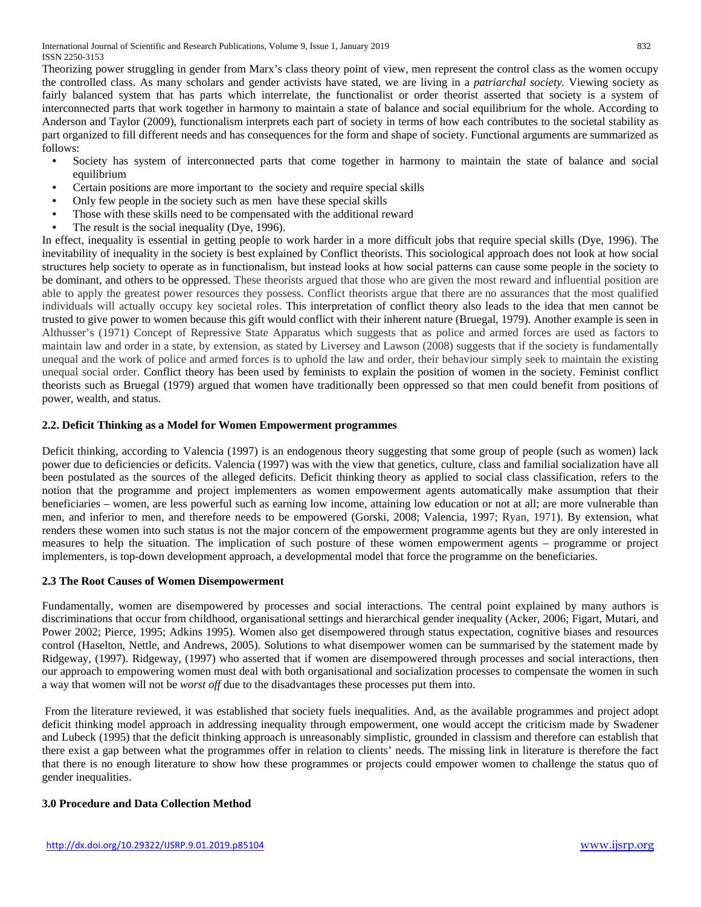Theorizing power struggling in gender from Marx's class theory point of view, men represent the control class as the women occupy the controlled class. As many scholars and gender activists have stated, we are living in a *patriarchal society.* Viewing society as fairly balanced system that has parts which interrelate, the functionalist or order theorist asserted that society is a system of interconnected parts that work together in harmony to maintain a state of balance and social equilibrium for the whole. According to Anderson and Taylor (2009), functionalism interprets each part of society in terms of how each contributes to the societal stability as part organized to fill different needs and has consequences for the form and shape of society. Functional arguments are summarized as follows:

- Society has system of interconnected parts that come together in harmony to maintain the state of balance and social equilibrium
- Certain positions are more important to the society and require special skills  $\bullet$  Only few people in the society such as men, have these special skills
- Only few people in the society such as men have these special skills
- Those with these skills need to be compensated with the additional reward
- The result is the social inequality (Dye, 1996).

In effect, inequality is essential in getting people to work harder in a more difficult jobs that require special skills (Dye, 1996). The inevitability of inequality in the society is best explained by Conflict theorists. This sociological approach does not look at how social structures help society to operate as in functionalism, but instead looks at how social patterns can cause some people in the society to be dominant, and others to be oppressed. These theorists argued that those who are given the most reward and influential position are able to apply the greatest power resources they possess. Conflict theorists argue that there are no assurances that the most qualified individuals will actually occupy key societal roles. This interpretation of conflict theory also leads to the idea that men cannot be trusted to give power to women because this gift would conflict with their inherent nature (Bruegal, 1979). Another example is seen in Althusser's (1971) Concept of Repressive State Apparatus which suggests that as police and armed forces are used as factors to maintain law and order in a state, by extension, as stated by Liversey and Lawson (2008) suggests that if the society is fundamentally unequal and the work of police and armed forces is to uphold the law and order, their behaviour simply seek to maintain the existing unequal social order. Conflict theory has been used by feminists to explain the position of women in the society. Feminist conflict theorists such as Bruegal (1979) argued that women have traditionally been oppressed so that men could benefit from positions of power, wealth, and status.

#### **2.2. Deficit Thinking as a Model for Women Empowerment programmes**

Deficit thinking, according to Valencia (1997) is an endogenous theory suggesting that some group of people (such as women) lack power due to deficiencies or deficits. Valencia (1997) was with the view that genetics, culture, class and familial socialization have all been postulated as the sources of the alleged deficits. Deficit thinking theory as applied to social class classification, refers to the notion that the programme and project implementers as women empowerment agents automatically make assumption that their beneficiaries – women, are less powerful such as earning low income, attaining low education or not at all; are more vulnerable than men, and inferior to men, and therefore needs to be empowered (Gorski, 2008; Valencia, 1997; Ryan, 1971). By extension, what renders these women into such status is not the major concern of the empowerment programme agents but they are only interested in measures to help the situation. The implication of such posture of these women empowerment agents – programme or project implementers, is top-down development approach, a developmental model that force the programme on the beneficiaries.

#### **2.3 The Root Causes of Women Disempowerment**

Fundamentally, women are disempowered by processes and social interactions. The central point explained by many authors is discriminations that occur from childhood, organisational settings and hierarchical gender inequality (Acker, 2006; Figart, Mutari, and Power 2002; Pierce, 1995; Adkins 1995). Women also get disempowered through status expectation, cognitive biases and resources control (Haselton, Nettle, and Andrews, 2005). Solutions to what disempower women can be summarised by the statement made by Ridgeway, (1997). Ridgeway, (1997) who asserted that if women are disempowered through processes and social interactions, then our approach to empowering women must deal with both organisational and socialization processes to compensate the women in such a way that women will not be *worst off* due to the disadvantages these processes put them into.

From the literature reviewed, it was established that society fuels inequalities. And, as the available programmes and project adopt deficit thinking model approach in addressing inequality through empowerment, one would accept the criticism made by Swadener and Lubeck (1995) that the deficit thinking approach is unreasonably simplistic, grounded in classism and therefore can establish that there exist a gap between what the programmes offer in relation to clients' needs. The missing link in literature is therefore the fact that there is no enough literature to show how these programmes or projects could empower women to challenge the status quo of gender inequalities.

#### **3.0 Procedure and Data Collection Method**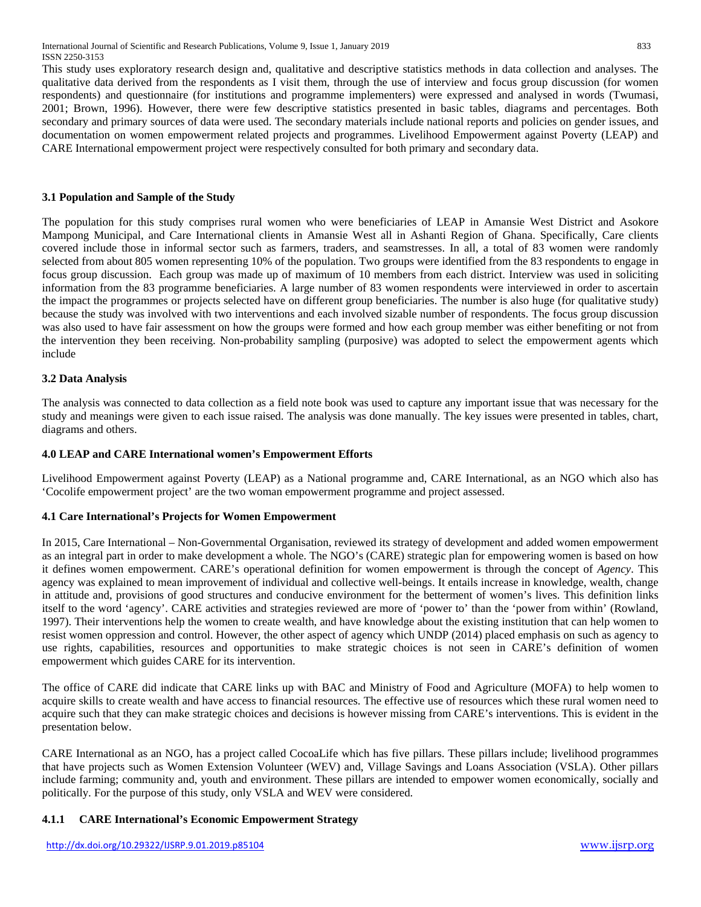This study uses exploratory research design and, qualitative and descriptive statistics methods in data collection and analyses. The qualitative data derived from the respondents as I visit them, through the use of interview and focus group discussion (for women respondents) and questionnaire (for institutions and programme implementers) were expressed and analysed in words (Twumasi, 2001; Brown, 1996). However, there were few descriptive statistics presented in basic tables, diagrams and percentages. Both secondary and primary sources of data were used. The secondary materials include national reports and policies on gender issues, and documentation on women empowerment related projects and programmes. Livelihood Empowerment against Poverty (LEAP) and CARE International empowerment project were respectively consulted for both primary and secondary data.

#### **3.1 Population and Sample of the Study**

The population for this study comprises rural women who were beneficiaries of LEAP in Amansie West District and Asokore Mampong Municipal, and Care International clients in Amansie West all in Ashanti Region of Ghana. Specifically, Care clients covered include those in informal sector such as farmers, traders, and seamstresses. In all, a total of 83 women were randomly selected from about 805 women representing 10% of the population. Two groups were identified from the 83 respondents to engage in focus group discussion. Each group was made up of maximum of 10 members from each district. Interview was used in soliciting information from the 83 programme beneficiaries. A large number of 83 women respondents were interviewed in order to ascertain the impact the programmes or projects selected have on different group beneficiaries. The number is also huge (for qualitative study) because the study was involved with two interventions and each involved sizable number of respondents. The focus group discussion was also used to have fair assessment on how the groups were formed and how each group member was either benefiting or not from the intervention they been receiving. Non-probability sampling (purposive) was adopted to select the empowerment agents which include

### **3.2 Data Analysis**

The analysis was connected to data collection as a field note book was used to capture any important issue that was necessary for the study and meanings were given to each issue raised. The analysis was done manually. The key issues were presented in tables, chart, diagrams and others.

#### **4.0 LEAP and CARE International women's Empowerment Efforts**

Livelihood Empowerment against Poverty (LEAP) as a National programme and, CARE International, as an NGO which also has 'Cocolife empowerment project' are the two woman empowerment programme and project assessed.

#### **4.1 Care International's Projects for Women Empowerment**

In 2015, Care International – Non-Governmental Organisation, reviewed its strategy of development and added women empowerment as an integral part in order to make development a whole. The NGO's (CARE) strategic plan for empowering women is based on how it defines women empowerment. CARE's operational definition for women empowerment is through the concept of *Agency*. This agency was explained to mean improvement of individual and collective well-beings. It entails increase in knowledge, wealth, change in attitude and, provisions of good structures and conducive environment for the betterment of women's lives. This definition links itself to the word 'agency'. CARE activities and strategies reviewed are more of 'power to' than the 'power from within' (Rowland, 1997). Their interventions help the women to create wealth, and have knowledge about the existing institution that can help women to resist women oppression and control. However, the other aspect of agency which UNDP (2014) placed emphasis on such as agency to use rights, capabilities, resources and opportunities to make strategic choices is not seen in CARE's definition of women empowerment which guides CARE for its intervention.

The office of CARE did indicate that CARE links up with BAC and Ministry of Food and Agriculture (MOFA) to help women to acquire skills to create wealth and have access to financial resources. The effective use of resources which these rural women need to acquire such that they can make strategic choices and decisions is however missing from CARE's interventions. This is evident in the presentation below.

CARE International as an NGO, has a project called CocoaLife which has five pillars. These pillars include; livelihood programmes that have projects such as Women Extension Volunteer (WEV) and, Village Savings and Loans Association (VSLA). Other pillars include farming; community and, youth and environment. These pillars are intended to empower women economically, socially and politically. For the purpose of this study, only VSLA and WEV were considered.

# **4.1.1 CARE International's Economic Empowerment Strategy**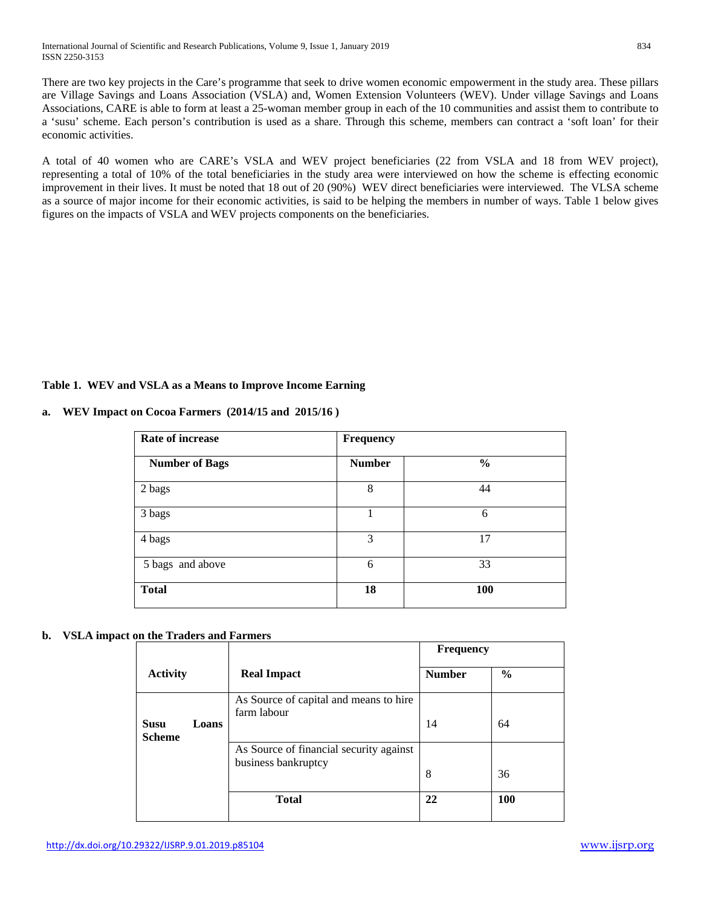There are two key projects in the Care's programme that seek to drive women economic empowerment in the study area. These pillars are Village Savings and Loans Association (VSLA) and, Women Extension Volunteers (WEV). Under village Savings and Loans Associations, CARE is able to form at least a 25-woman member group in each of the 10 communities and assist them to contribute to a 'susu' scheme. Each person's contribution is used as a share. Through this scheme, members can contract a 'soft loan' for their economic activities.

A total of 40 women who are CARE's VSLA and WEV project beneficiaries (22 from VSLA and 18 from WEV project), representing a total of 10% of the total beneficiaries in the study area were interviewed on how the scheme is effecting economic improvement in their lives. It must be noted that 18 out of 20 (90%) WEV direct beneficiaries were interviewed. The VLSA scheme as a source of major income for their economic activities, is said to be helping the members in number of ways. Table 1 below gives figures on the impacts of VSLA and WEV projects components on the beneficiaries.

### **Table 1. WEV and VSLA as a Means to Improve Income Earning**

| <b>Rate of increase</b> | <b>Frequency</b> |               |  |  |
|-------------------------|------------------|---------------|--|--|
| <b>Number of Bags</b>   | <b>Number</b>    | $\frac{0}{0}$ |  |  |
| 2 bags                  | 8                | 44            |  |  |
| 3 bags                  |                  | 6             |  |  |
| 4 bags                  | 3                | 17            |  |  |
| 5 bags and above        | 6                | 33            |  |  |
| <b>Total</b>            | 18               | 100           |  |  |

**a. WEV Impact on Cocoa Farmers (2014/15 and 2015/16 )**

# **b. VSLA impact on the Traders and Farmers**

|                              |       |                                                                | <b>Frequency</b> |               |
|------------------------------|-------|----------------------------------------------------------------|------------------|---------------|
| <b>Activity</b>              |       | <b>Real Impact</b>                                             | <b>Number</b>    | $\frac{6}{9}$ |
| <b>Susu</b><br><b>Scheme</b> | Loans | As Source of capital and means to hire<br>farm labour          | 14               | 64            |
|                              |       | As Source of financial security against<br>business bankruptcy | 8                | 36            |
|                              |       | <b>Total</b>                                                   | 22               | 100           |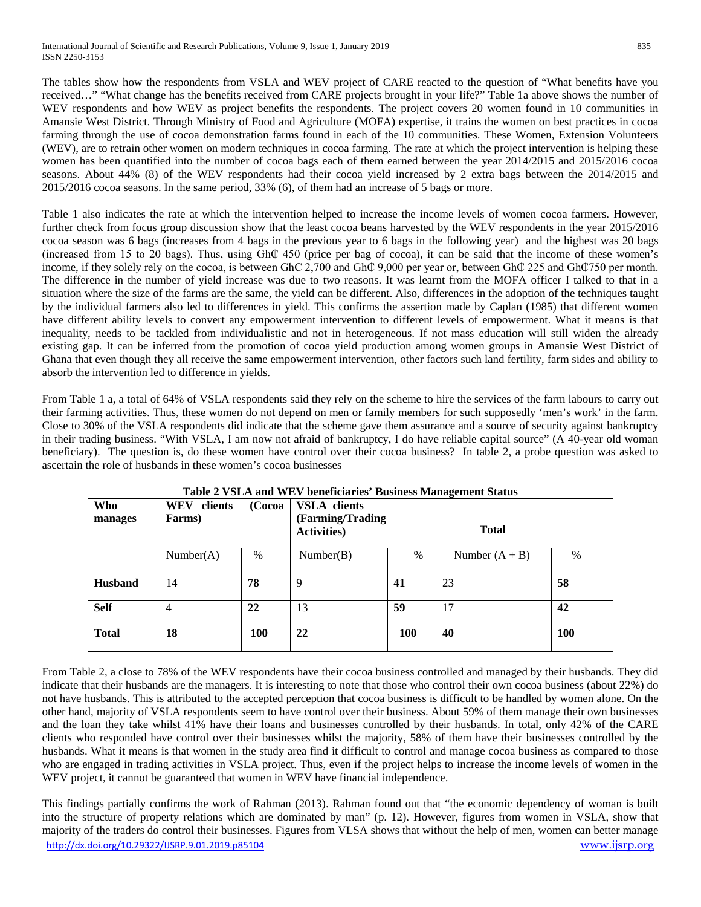The tables show how the respondents from VSLA and WEV project of CARE reacted to the question of "What benefits have you received…" "What change has the benefits received from CARE projects brought in your life?" Table 1a above shows the number of WEV respondents and how WEV as project benefits the respondents. The project covers 20 women found in 10 communities in Amansie West District. Through Ministry of Food and Agriculture (MOFA) expertise, it trains the women on best practices in cocoa farming through the use of cocoa demonstration farms found in each of the 10 communities. These Women, Extension Volunteers (WEV), are to retrain other women on modern techniques in cocoa farming. The rate at which the project intervention is helping these women has been quantified into the number of cocoa bags each of them earned between the year 2014/2015 and 2015/2016 cocoa seasons. About 44% (8) of the WEV respondents had their cocoa yield increased by 2 extra bags between the 2014/2015 and 2015/2016 cocoa seasons. In the same period, 33% (6), of them had an increase of 5 bags or more.

Table 1 also indicates the rate at which the intervention helped to increase the income levels of women cocoa farmers. However, further check from focus group discussion show that the least cocoa beans harvested by the WEV respondents in the year 2015/2016 cocoa season was 6 bags (increases from 4 bags in the previous year to 6 bags in the following year) and the highest was 20 bags (increased from 15 to 20 bags). Thus, using Gh₵ 450 (price per bag of cocoa), it can be said that the income of these women's income, if they solely rely on the cocoa, is between Gh₵ 2,700 and Gh₵ 9,000 per year or, between Gh₵ 225 and Gh₵750 per month. The difference in the number of yield increase was due to two reasons. It was learnt from the MOFA officer I talked to that in a situation where the size of the farms are the same, the yield can be different. Also, differences in the adoption of the techniques taught by the individual farmers also led to differences in yield. This confirms the assertion made by Caplan (1985) that different women have different ability levels to convert any empowerment intervention to different levels of empowerment. What it means is that inequality, needs to be tackled from individualistic and not in heterogeneous. If not mass education will still widen the already existing gap. It can be inferred from the promotion of cocoa yield production among women groups in Amansie West District of Ghana that even though they all receive the same empowerment intervention, other factors such land fertility, farm sides and ability to absorb the intervention led to difference in yields.

From Table 1 a, a total of 64% of VSLA respondents said they rely on the scheme to hire the services of the farm labours to carry out their farming activities. Thus, these women do not depend on men or family members for such supposedly 'men's work' in the farm. Close to 30% of the VSLA respondents did indicate that the scheme gave them assurance and a source of security against bankruptcy in their trading business. "With VSLA, I am now not afraid of bankruptcy, I do have reliable capital source" (A 40-year old woman beneficiary). The question is, do these women have control over their cocoa business? In table 2, a probe question was asked to ascertain the role of husbands in these women's cocoa businesses

| Who<br>manages | clients<br><b>WEV</b><br>Farms) | (Cocoa        | <b>VSLA</b> clients<br>(Farming/Trading<br><b>Activities</b> ) |            | <b>Total</b>     |      |  |
|----------------|---------------------------------|---------------|----------------------------------------------------------------|------------|------------------|------|--|
|                | Number(A)                       | $\frac{0}{0}$ | Number(B)                                                      | $\%$       | Number $(A + B)$ | $\%$ |  |
| <b>Husband</b> | 14                              | 78            | 9                                                              | 41         | 23               | 58   |  |
| <b>Self</b>    | 4                               | 22            | 13                                                             | 59         | 17               | 42   |  |
| <b>Total</b>   | 18                              | 100           | 22                                                             | <b>100</b> | 40               | 100  |  |

**Table 2 VSLA and WEV beneficiaries' Business Management Status**

From Table 2, a close to 78% of the WEV respondents have their cocoa business controlled and managed by their husbands. They did indicate that their husbands are the managers. It is interesting to note that those who control their own cocoa business (about 22%) do not have husbands. This is attributed to the accepted perception that cocoa business is difficult to be handled by women alone. On the other hand, majority of VSLA respondents seem to have control over their business. About 59% of them manage their own businesses and the loan they take whilst 41% have their loans and businesses controlled by their husbands. In total, only 42% of the CARE clients who responded have control over their businesses whilst the majority, 58% of them have their businesses controlled by the husbands. What it means is that women in the study area find it difficult to control and manage cocoa business as compared to those who are engaged in trading activities in VSLA project. Thus, even if the project helps to increase the income levels of women in the WEV project, it cannot be guaranteed that women in WEV have financial independence.

<http://dx.doi.org/10.29322/IJSRP.9.01.2019.p85104> [www.ijsrp.org](http://ijsrp.org/) This findings partially confirms the work of Rahman (2013). Rahman found out that "the economic dependency of woman is built into the structure of property relations which are dominated by man" (p. 12). However, figures from women in VSLA, show that majority of the traders do control their businesses. Figures from VLSA shows that without the help of men, women can better manage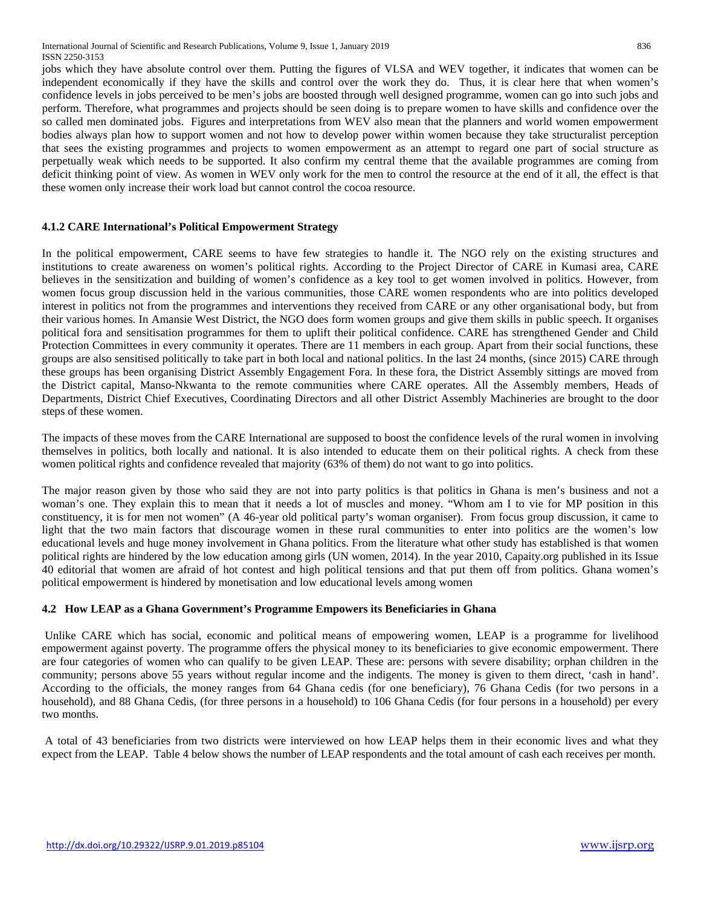jobs which they have absolute control over them. Putting the figures of VLSA and WEV together, it indicates that women can be independent economically if they have the skills and control over the work they do. Thus, it is clear here that when women's confidence levels in jobs perceived to be men's jobs are boosted through well designed programme, women can go into such jobs and perform. Therefore, what programmes and projects should be seen doing is to prepare women to have skills and confidence over the so called men dominated jobs. Figures and interpretations from WEV also mean that the planners and world women empowerment bodies always plan how to support women and not how to develop power within women because they take structuralist perception that sees the existing programmes and projects to women empowerment as an attempt to regard one part of social structure as perpetually weak which needs to be supported. It also confirm my central theme that the available programmes are coming from deficit thinking point of view. As women in WEV only work for the men to control the resource at the end of it all, the effect is that these women only increase their work load but cannot control the cocoa resource.

### **4.1.2 CARE International's Political Empowerment Strategy**

In the political empowerment, CARE seems to have few strategies to handle it. The NGO rely on the existing structures and institutions to create awareness on women's political rights. According to the Project Director of CARE in Kumasi area, CARE believes in the sensitization and building of women's confidence as a key tool to get women involved in politics. However, from women focus group discussion held in the various communities, those CARE women respondents who are into politics developed interest in politics not from the programmes and interventions they received from CARE or any other organisational body, but from their various homes. In Amansie West District, the NGO does form women groups and give them skills in public speech. It organises political fora and sensitisation programmes for them to uplift their political confidence. CARE has strengthened Gender and Child Protection Committees in every community it operates. There are 11 members in each group. Apart from their social functions, these groups are also sensitised politically to take part in both local and national politics. In the last 24 months, (since 2015) CARE through these groups has been organising District Assembly Engagement Fora. In these fora, the District Assembly sittings are moved from the District capital, Manso-Nkwanta to the remote communities where CARE operates. All the Assembly members, Heads of Departments, District Chief Executives, Coordinating Directors and all other District Assembly Machineries are brought to the door steps of these women.

The impacts of these moves from the CARE International are supposed to boost the confidence levels of the rural women in involving themselves in politics, both locally and national. It is also intended to educate them on their political rights. A check from these women political rights and confidence revealed that majority (63% of them) do not want to go into politics.

The major reason given by those who said they are not into party politics is that politics in Ghana is men's business and not a woman's one. They explain this to mean that it needs a lot of muscles and money. "Whom am I to vie for MP position in this constituency, it is for men not women" (A 46-year old political party's woman organiser). From focus group discussion, it came to light that the two main factors that discourage women in these rural communities to enter into politics are the women's low educational levels and huge money involvement in Ghana politics. From the literature what other study has established is that women political rights are hindered by the low education among girls (UN women, 2014). In the year 2010, Capaity.org published in its Issue 40 editorial that women are afraid of hot contest and high political tensions and that put them off from politics. Ghana women's political empowerment is hindered by monetisation and low educational levels among women

#### **4.2 How LEAP as a Ghana Government's Programme Empowers its Beneficiaries in Ghana**

Unlike CARE which has social, economic and political means of empowering women, LEAP is a programme for livelihood empowerment against poverty. The programme offers the physical money to its beneficiaries to give economic empowerment. There are four categories of women who can qualify to be given LEAP. These are: persons with severe disability; orphan children in the community; persons above 55 years without regular income and the indigents. The money is given to them direct, 'cash in hand'. According to the officials, the money ranges from 64 Ghana cedis (for one beneficiary), 76 Ghana Cedis (for two persons in a household), and 88 Ghana Cedis, (for three persons in a household) to 106 Ghana Cedis (for four persons in a household) per every two months.

A total of 43 beneficiaries from two districts were interviewed on how LEAP helps them in their economic lives and what they expect from the LEAP. Table 4 below shows the number of LEAP respondents and the total amount of cash each receives per month.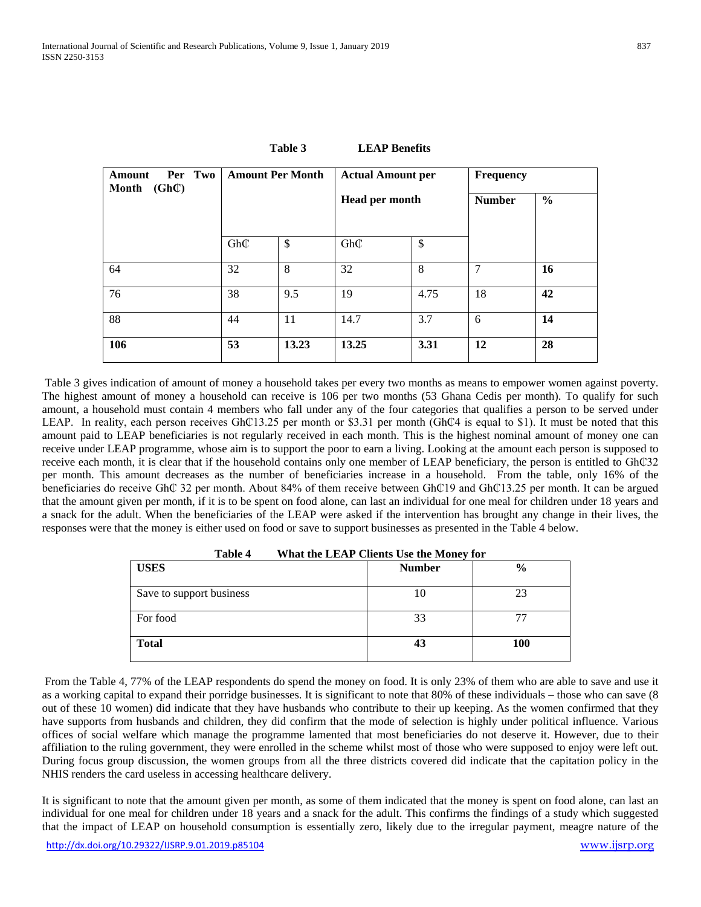| Per Two<br>Amount<br>$(Gh\mathbb{C})$<br>Month | <b>Amount Per Month</b> |              | <b>Actual Amount per</b> |      | <b>Frequency</b> |               |
|------------------------------------------------|-------------------------|--------------|--------------------------|------|------------------|---------------|
|                                                |                         |              | <b>Head per month</b>    |      | <b>Number</b>    | $\frac{6}{6}$ |
|                                                | GhC                     | $\mathbb{S}$ | GhC                      | \$   |                  |               |
| 64                                             | 32                      | 8            | 32                       | 8    | 7                | 16            |
| 76                                             | 38                      | 9.5          | 19                       | 4.75 | 18               | 42            |
| 88                                             | 44                      | 11           | 14.7                     | 3.7  | 6                | 14            |
| 106                                            | 53                      | 13.23        | 13.25                    | 3.31 | 12               | 28            |

**Table 3 LEAP Benefits**

Table 3 gives indication of amount of money a household takes per every two months as means to empower women against poverty. The highest amount of money a household can receive is 106 per two months (53 Ghana Cedis per month). To qualify for such amount, a household must contain 4 members who fall under any of the four categories that qualifies a person to be served under LEAP. In reality, each person receives Gh $\mathbb{C}13.25$  per month or \$3.31 per month (Gh $\mathbb{C}4$  is equal to \$1). It must be noted that this amount paid to LEAP beneficiaries is not regularly received in each month. This is the highest nominal amount of money one can receive under LEAP programme, whose aim is to support the poor to earn a living. Looking at the amount each person is supposed to receive each month, it is clear that if the household contains only one member of LEAP beneficiary, the person is entitled to Gh₵32 per month. This amount decreases as the number of beneficiaries increase in a household. From the table, only 16% of the beneficiaries do receive Gh₵ 32 per month. About 84% of them receive between Gh₵19 and Gh₵13.25 per month. It can be argued that the amount given per month, if it is to be spent on food alone, can last an individual for one meal for children under 18 years and a snack for the adult. When the beneficiaries of the LEAP were asked if the intervention has brought any change in their lives, the responses were that the money is either used on food or save to support businesses as presented in the Table 4 below.

| Table 4<br>What the LEAP Clients Use the Money for |               |               |  |  |  |
|----------------------------------------------------|---------------|---------------|--|--|--|
| <b>USES</b>                                        | <b>Number</b> | $\frac{0}{0}$ |  |  |  |
| Save to support business                           | 10            | 23            |  |  |  |
| For food                                           | 33            |               |  |  |  |
| <b>Total</b>                                       | 43            | 100           |  |  |  |

From the Table 4, 77% of the LEAP respondents do spend the money on food. It is only 23% of them who are able to save and use it as a working capital to expand their porridge businesses. It is significant to note that 80% of these individuals – those who can save (8 out of these 10 women) did indicate that they have husbands who contribute to their up keeping. As the women confirmed that they have supports from husbands and children, they did confirm that the mode of selection is highly under political influence. Various offices of social welfare which manage the programme lamented that most beneficiaries do not deserve it. However, due to their affiliation to the ruling government, they were enrolled in the scheme whilst most of those who were supposed to enjoy were left out. During focus group discussion, the women groups from all the three districts covered did indicate that the capitation policy in the NHIS renders the card useless in accessing healthcare delivery.

It is significant to note that the amount given per month, as some of them indicated that the money is spent on food alone, can last an individual for one meal for children under 18 years and a snack for the adult. This confirms the findings of a study which suggested that the impact of LEAP on household consumption is essentially zero, likely due to the irregular payment, meagre nature of the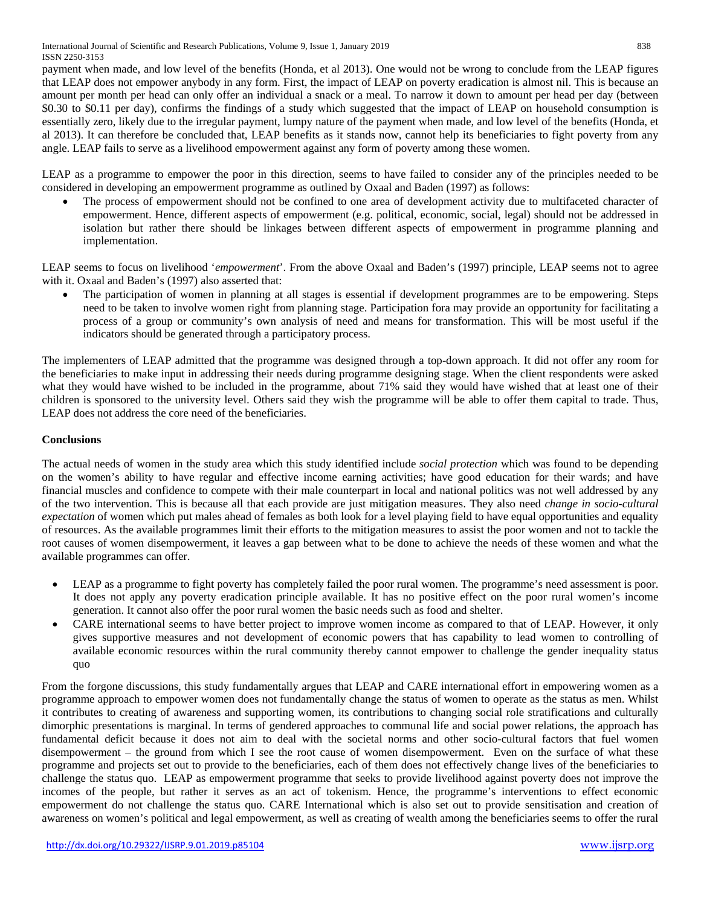payment when made, and low level of the benefits (Honda, et al 2013). One would not be wrong to conclude from the LEAP figures that LEAP does not empower anybody in any form. First, the impact of LEAP on poverty eradication is almost nil. This is because an amount per month per head can only offer an individual a snack or a meal. To narrow it down to amount per head per day (between \$0.30 to \$0.11 per day), confirms the findings of a study which suggested that the impact of LEAP on household consumption is essentially zero, likely due to the irregular payment, lumpy nature of the payment when made, and low level of the benefits (Honda, et al 2013). It can therefore be concluded that, LEAP benefits as it stands now, cannot help its beneficiaries to fight poverty from any angle. LEAP fails to serve as a livelihood empowerment against any form of poverty among these women.

LEAP as a programme to empower the poor in this direction, seems to have failed to consider any of the principles needed to be considered in developing an empowerment programme as outlined by Oxaal and Baden (1997) as follows:

The process of empowerment should not be confined to one area of development activity due to multifaceted character of empowerment. Hence, different aspects of empowerment (e.g. political, economic, social, legal) should not be addressed in isolation but rather there should be linkages between different aspects of empowerment in programme planning and implementation.

LEAP seems to focus on livelihood '*empowerment*'. From the above Oxaal and Baden's (1997) principle, LEAP seems not to agree with it. Oxaal and Baden's (1997) also asserted that:

• The participation of women in planning at all stages is essential if development programmes are to be empowering. Steps need to be taken to involve women right from planning stage. Participation fora may provide an opportunity for facilitating a process of a group or community's own analysis of need and means for transformation. This will be most useful if the indicators should be generated through a participatory process.

The implementers of LEAP admitted that the programme was designed through a top-down approach. It did not offer any room for the beneficiaries to make input in addressing their needs during programme designing stage. When the client respondents were asked what they would have wished to be included in the programme, about 71% said they would have wished that at least one of their children is sponsored to the university level. Others said they wish the programme will be able to offer them capital to trade. Thus, LEAP does not address the core need of the beneficiaries.

### **Conclusions**

The actual needs of women in the study area which this study identified include *social protection* which was found to be depending on the women's ability to have regular and effective income earning activities; have good education for their wards; and have financial muscles and confidence to compete with their male counterpart in local and national politics was not well addressed by any of the two intervention. This is because all that each provide are just mitigation measures. They also need *change in socio-cultural expectation* of women which put males ahead of females as both look for a level playing field to have equal opportunities and equality of resources. As the available programmes limit their efforts to the mitigation measures to assist the poor women and not to tackle the root causes of women disempowerment, it leaves a gap between what to be done to achieve the needs of these women and what the available programmes can offer.

- LEAP as a programme to fight poverty has completely failed the poor rural women. The programme's need assessment is poor. It does not apply any poverty eradication principle available. It has no positive effect on the poor rural women's income generation. It cannot also offer the poor rural women the basic needs such as food and shelter.
- CARE international seems to have better project to improve women income as compared to that of LEAP. However, it only gives supportive measures and not development of economic powers that has capability to lead women to controlling of available economic resources within the rural community thereby cannot empower to challenge the gender inequality status quo

From the forgone discussions, this study fundamentally argues that LEAP and CARE international effort in empowering women as a programme approach to empower women does not fundamentally change the status of women to operate as the status as men. Whilst it contributes to creating of awareness and supporting women, its contributions to changing social role stratifications and culturally dimorphic presentations is marginal. In terms of gendered approaches to communal life and social power relations, the approach has fundamental deficit because it does not aim to deal with the societal norms and other socio-cultural factors that fuel women disempowerment – the ground from which I see the root cause of women disempowerment. Even on the surface of what these programme and projects set out to provide to the beneficiaries, each of them does not effectively change lives of the beneficiaries to challenge the status quo. LEAP as empowerment programme that seeks to provide livelihood against poverty does not improve the incomes of the people, but rather it serves as an act of tokenism. Hence, the programme's interventions to effect economic empowerment do not challenge the status quo. CARE International which is also set out to provide sensitisation and creation of awareness on women's political and legal empowerment, as well as creating of wealth among the beneficiaries seems to offer the rural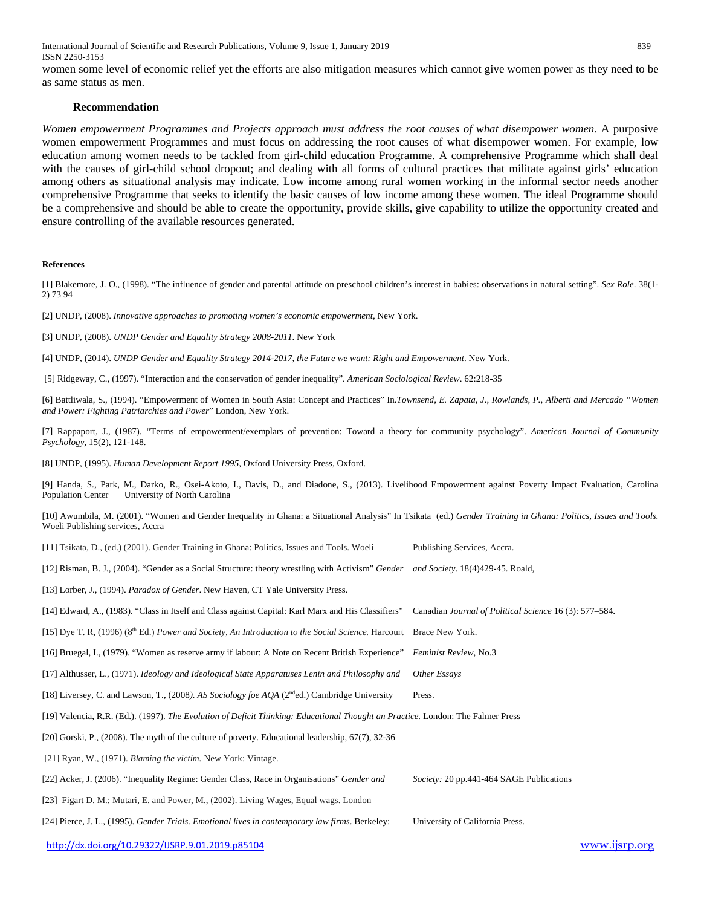International Journal of Scientific and Research Publications, Volume 9, Issue 1, January 2019 839 ISSN 2250-3153

women some level of economic relief yet the efforts are also mitigation measures which cannot give women power as they need to be as same status as men.

#### **Recommendation**

*Women empowerment Programmes and Projects approach must address the root causes of what disempower women.* A purposive women empowerment Programmes and must focus on addressing the root causes of what disempower women. For example, low education among women needs to be tackled from girl-child education Programme. A comprehensive Programme which shall deal with the causes of girl-child school dropout; and dealing with all forms of cultural practices that militate against girls' education among others as situational analysis may indicate. Low income among rural women working in the informal sector needs another comprehensive Programme that seeks to identify the basic causes of low income among these women. The ideal Programme should be a comprehensive and should be able to create the opportunity, provide skills, give capability to utilize the opportunity created and ensure controlling of the available resources generated.

#### **References**

[1] Blakemore, J. O., (1998). "The influence of gender and parental attitude on preschool children's interest in babies: observations in natural setting". *Sex Role*. 38(1- 2) 73 94

[2] UNDP, (2008). *Innovative approaches to promoting women's economic empowerment,* New York.

[3] UNDP, (2008). *UNDP Gender and Equality Strategy 2008-2011*. New York

[4] UNDP, (2014). *UNDP Gender and Equality Strategy 2014-2017, the Future we want: Right and Empowerment*. New York.

[5] Ridgeway, C., (1997). "Interaction and the conservation of gender inequality". *American Sociological Review*. 62:218-35

[6] Battliwala, S., (1994). "Empowerment of Women in South Asia: Concept and Practices" In.*Townsend, E. Zapata, J., Rowlands, P., Alberti and Mercado "Women and Power: Fighting Patriarchies and Power*" London, New York.

[7] Rappaport, J., (1987). "Terms of empowerment/exemplars of prevention: Toward a theory for community psychology". *American Journal of Community Psychology,* 15(2), 121-148.

[8] UNDP, (1995). *Human Development Report 1995,* Oxford University Press, Oxford.

[9] Handa, S., Park, M., Darko, R., Osei-Akoto, I., Davis, D., and Diadone, S., (2013). Livelihood Empowerment against Poverty Impact Evaluation, Carolina Population Center University of North Carolina

[10] Awumbila, M. (2001). "Women and Gender Inequality in Ghana: a Situational Analysis" In Tsikata (ed.) *Gender Training in Ghana: Politics, Issues and Tools.* Woeli Publishing services, Accra

|  |  |  | [11] Tsikata, D., (ed.) (2001). Gender Training in Ghana: Politics, Issues and Tools. Woeli |  | Publishing Services, Accra. |
|--|--|--|---------------------------------------------------------------------------------------------|--|-----------------------------|
|--|--|--|---------------------------------------------------------------------------------------------|--|-----------------------------|

[12] Risman, B. J., (2004). "Gender as a Social Structure: theory wrestling with Activism" *Gender and Society*. 18(4)429-45. Roald,

[13] Lorber, J., (1994). *Paradox of Gender*. New Haven, CT Yale University Press.

[14] Edward, A., (1983). ["Class in Itself and Class against Capital: Karl Marx and His Classifiers"](http://www.jstor.org/stable/3227396) Canadian *Journal of Political Science* 16 (3): 577–584.

[15] Dye T. R, (1996) (8th Ed.) *Power and Society, An Introduction to the Social Science.* Harcourt Brace New York.

[16] Bruegal, I., (1979). "Women as reserve army if labour: A Note on Recent British Experience" *Feminist Review*, No.3

[17] Althusser, L., (1971). *Ideology and Ideological State Apparatuses Lenin and Philosophy and Other Essays*

[18] Liversey, C. and Lawson, T., (2008*). AS Sociology foe AQA* (2nded.) Cambridge University Press.

[19] Valencia, R.R. (Ed.). (1997). *The Evolution of Deficit Thinking: Educational Thought an Practice.* London: The Falmer Press

[20] Gorski, P., (2008). The myth of the culture of poverty. Educational leadership, 67(7), 32-36

[21] Ryan, W., (1971). *Blaming the victim.* New York: Vintage.

[22] Acker, J. (2006). "Inequality Regime: Gender Class, Race in Organisations" *Gender and Society:* 20 pp.441-464 SAGE Publications

[23] Figart D. M.; Mutari, E. and Power, M., (2002). Living Wages, Equal wags. London

[24] Pierce, J. L., (1995). *Gender Trials. Emotional lives in contemporary law firms*. Berkeley: University of California Press.